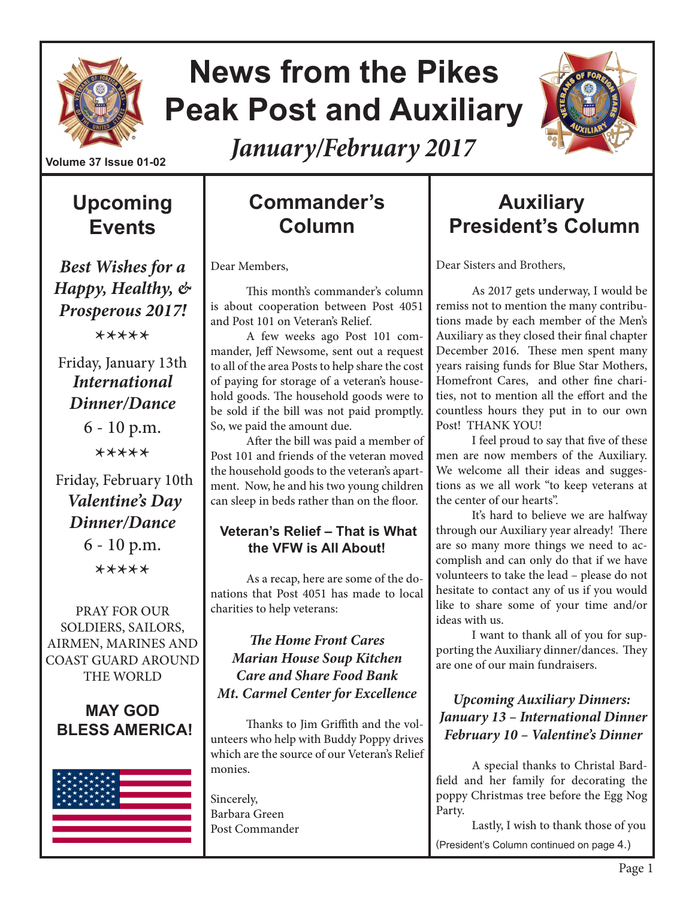

# **News from the Pikes Peak Post and Auxiliary**



*January/February 2017*

## **Upcoming Events**

*Best Wishes for a Happy, Healthy, & Prosperous 2017!*

\*\*\*\*\*

### Friday, January 13th *International Dinner/Dance*

6 - 10 p.m. \*\*\*\*\*

 Friday, February 10th *Valentine's Day Dinner/Dance* 6 - 10 p.m.

\*\*\*\*\*

PRAY FOR OUR SOLDIERS, SAILORS, AIRMEN, MARINES AND COAST GUARD AROUND THE WORLD

### **MAY GOD BLESS AMERICA!**



## **Commander's Column**

Dear Members,

This month's commander's column is about cooperation between Post 4051 and Post 101 on Veteran's Relief.

A few weeks ago Post 101 commander, Jeff Newsome, sent out a request to all of the area Posts to help share the cost of paying for storage of a veteran's household goods. The household goods were to be sold if the bill was not paid promptly. So, we paid the amount due.

After the bill was paid a member of Post 101 and friends of the veteran moved the household goods to the veteran's apartment. Now, he and his two young children can sleep in beds rather than on the floor.

### **Veteran's Relief – That is What the VFW is All About!**

As a recap, here are some of the donations that Post 4051 has made to local charities to help veterans:

### *The Home Front Cares Marian House Soup Kitchen Care and Share Food Bank Mt. Carmel Center for Excellence*

Thanks to Jim Griffith and the volunteers who help with Buddy Poppy drives which are the source of our Veteran's Relief monies.

Sincerely, Barbara Green Post Commander

## **Auxiliary President's Column**

Dear Sisters and Brothers,

As 2017 gets underway, I would be remiss not to mention the many contributions made by each member of the Men's Auxiliary as they closed their final chapter December 2016. These men spent many years raising funds for Blue Star Mothers, Homefront Cares, and other fine charities, not to mention all the effort and the countless hours they put in to our own Post! THANK YOU!

I feel proud to say that five of these men are now members of the Auxiliary. We welcome all their ideas and suggestions as we all work "to keep veterans at the center of our hearts".

It's hard to believe we are halfway through our Auxiliary year already! There are so many more things we need to accomplish and can only do that if we have volunteers to take the lead – please do not hesitate to contact any of us if you would like to share some of your time and/or ideas with us.

I want to thank all of you for supporting the Auxiliary dinner/dances. They are one of our main fundraisers.

### *Upcoming Auxiliary Dinners: January 13 – International Dinner February 10 – Valentine's Dinner*

A special thanks to Christal Bardfield and her family for decorating the poppy Christmas tree before the Egg Nog Party.

Lastly, I wish to thank those of you (President's Column continued on page 4.)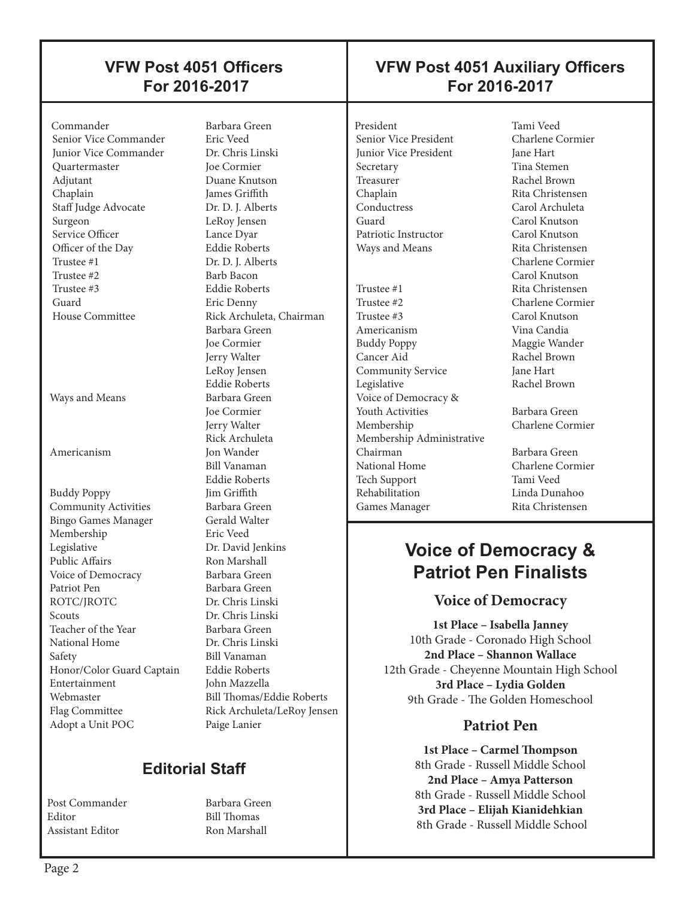### **VFW Post 4051 Officers For 2016-2017**

#### Commander Barbara Green Senior Vice Commander Junior Vice Commander Dr. Chris Linski Quartermaster Joe Cormier Adjutant Duane Knutson Chaplain James Griffith Staff Judge Advocate Dr. D. J. Alberts Surgeon LeRoy Jensen Service Officer Lance Dyar Officer of the Day Eddie Roberts<br>
Trustee #1 Dr. D. I. Albert Trustee #1 Dr. D. J. Alberts<br>Trustee #2 Barb Bacon Trustee #3 Eddie Roberts Guard Eric Denny

 $\overline{\phantom{a}}$ 

Ways and Means Barbara Green

Americanism Jon Wander

Buddy Poppy **Community Activities** Barbara Green<br>Bingo Games Manager Gerald Walter Bingo Games Manager Membership Eric Veed Legislative Dr. David Jenkins Public Affairs Ron Marshall Voice of Democracy Barbara Green Patriot Pen Barbara Green ROTC/IROTC Dr. Chris Linski Scouts Dr. Chris Linski Teacher of the Year Barbara Green<br>
National Home Dr. Chris Linski National Home Safety Bill Vanaman<br>Honor/Color Guard Captain Eddie Roberts Honor/Color Guard Captain Entertainment John Mazzella Webmaster Bill Thomas/Eddie Roberts Flag Committee Rick Archuleta/LeRoy Jensen Adopt a Unit POC Paige Lanier

Barb Bacon House Committee Rick Archuleta, Chairman Barbara Green Joe Cormier Jerry Walter LeRoy Jensen Eddie Roberts Joe Cormier Jerry Walter Rick Archuleta Bill Vanaman Eddie Roberts

## **Editorial Staff**

Post Commander Barbara Green Editor Bill Thomas Assistant Editor Ron Marshall

### **VFW Post 4051 Auxiliary Officers For 2016-2017**

President Tami Veed<br>
Senior Vice President Charlene Cormier Senior Vice President Junior Vice President Jane Hart Secretary Tina Stemen Treasurer Rachel Brown<br>
Chaplain Rita Christens Chaplain Rita Christensen<br>
Carol Archuleta Conductress Carol Archuleta<br>Carol Knutson<br>Carol Knutson Patriotic Instructor Carol Knutson Ways and Means Rita Christensen

 $\overline{\phantom{a}}$ 

Trustee #1 Rita Christensen Trustee #2 Charlene Cormier Trustee #3 Carol Knutson Americanism Vina Candia Buddy Poppy Maggie Wander Cancer Aid<br>
Community Service<br>
Tane Hart Community Service Legislative Rachel Brown Voice of Democracy & **Youth Activities** Barbara Green Membership Charlene Cormier Membership Administrative Chairman Barbara Green National Home Charlene Cormier Tech Support Tami Veed Games Manager Rita Christensen

Carol Knutson Charlene Cormier Carol Knutson

Linda Dunahoo

## **Voice of Democracy & Patriot Pen Finalists**

### **Voice of Democracy**

**1st Place – Isabella Janney** 10th Grade - Coronado High School **2nd Place – Shannon Wallace**  12th Grade - Cheyenne Mountain High School **3rd Place – Lydia Golden** 9th Grade - The Golden Homeschool

### **Patriot Pen**

**1st Place – Carmel Thompson** 8th Grade - Russell Middle School **2nd Place – Amya Patterson** 8th Grade - Russell Middle School **3rd Place – Elijah Kianidehkian** 8th Grade - Russell Middle School

 $\overline{\phantom{a}}$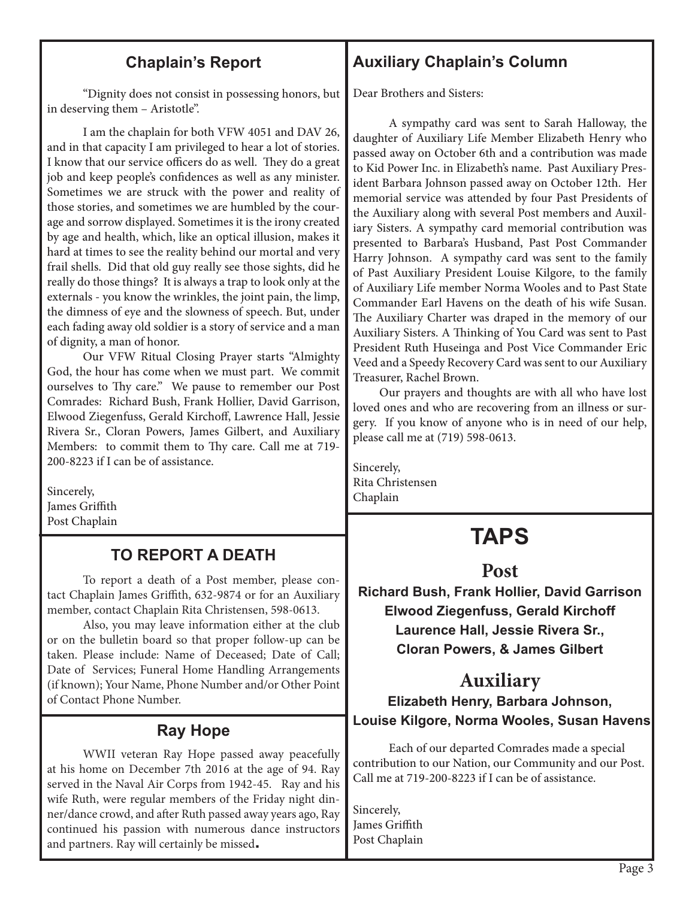### **Chaplain's Report**

**Auxiliary Chaplain's Column**

"Dignity does not consist in possessing honors, but in deserving them – Aristotle".

I am the chaplain for both VFW 4051 and DAV 26, and in that capacity I am privileged to hear a lot of stories. I know that our service officers do as well. They do a great job and keep people's confidences as well as any minister. Sometimes we are struck with the power and reality of those stories, and sometimes we are humbled by the courage and sorrow displayed. Sometimes it is the irony created by age and health, which, like an optical illusion, makes it hard at times to see the reality behind our mortal and very frail shells. Did that old guy really see those sights, did he really do those things? It is always a trap to look only at the externals - you know the wrinkles, the joint pain, the limp, the dimness of eye and the slowness of speech. But, under each fading away old soldier is a story of service and a man of dignity, a man of honor.

Our VFW Ritual Closing Prayer starts "Almighty God, the hour has come when we must part. We commit ourselves to Thy care." We pause to remember our Post Comrades: Richard Bush, Frank Hollier, David Garrison, Elwood Ziegenfuss, Gerald Kirchoff, Lawrence Hall, Jessie Rivera Sr., Cloran Powers, James Gilbert, and Auxiliary Members: to commit them to Thy care. Call me at 719- 200-8223 if I can be of assistance.

Sincerely, James Griffith Post Chaplain

### **TO REPORT A DEATH**

To report a death of a Post member, please contact Chaplain James Griffith, 632-9874 or for an Auxiliary member, contact Chaplain Rita Christensen, 598-0613.

Also, you may leave information either at the club or on the bulletin board so that proper follow-up can be taken. Please include: Name of Deceased; Date of Call; Date of Services; Funeral Home Handling Arrangements (if known); Your Name, Phone Number and/or Other Point of Contact Phone Number.

### **Ray Hope**

WWII veteran Ray Hope passed away peacefully at his home on December 7th 2016 at the age of 94. Ray served in the Naval Air Corps from 1942-45. Ray and his wife Ruth, were regular members of the Friday night dinner/dance crowd, and after Ruth passed away years ago, Ray continued his passion with numerous dance instructors and partners. Ray will certainly be missed**.**

Dear Brothers and Sisters:

A sympathy card was sent to Sarah Halloway, the daughter of Auxiliary Life Member Elizabeth Henry who passed away on October 6th and a contribution was made to Kid Power Inc. in Elizabeth's name. Past Auxiliary President Barbara Johnson passed away on October 12th. Her memorial service was attended by four Past Presidents of the Auxiliary along with several Post members and Auxiliary Sisters. A sympathy card memorial contribution was presented to Barbara's Husband, Past Post Commander Harry Johnson. A sympathy card was sent to the family of Past Auxiliary President Louise Kilgore, to the family of Auxiliary Life member Norma Wooles and to Past State Commander Earl Havens on the death of his wife Susan. The Auxiliary Charter was draped in the memory of our Auxiliary Sisters. A Thinking of You Card was sent to Past President Ruth Huseinga and Post Vice Commander Eric Veed and a Speedy Recovery Card was sent to our Auxiliary Treasurer, Rachel Brown.

 Our prayers and thoughts are with all who have lost loved ones and who are recovering from an illness or surgery. If you know of anyone who is in need of our help, please call me at (719) 598-0613.

Sincerely, Rita Christensen Chaplain

## **TAPS**

### **Post**

**Richard Bush, Frank Hollier, David Garrison Elwood Ziegenfuss, Gerald Kirchoff Laurence Hall, Jessie Rivera Sr., Cloran Powers, & James Gilbert**

## **Auxiliary**

**Elizabeth Henry, Barbara Johnson, Louise Kilgore, Norma Wooles, Susan Havens**

Each of our departed Comrades made a special contribution to our Nation, our Community and our Post. Call me at 719-200-8223 if I can be of assistance.

Sincerely, James Griffith Post Chaplain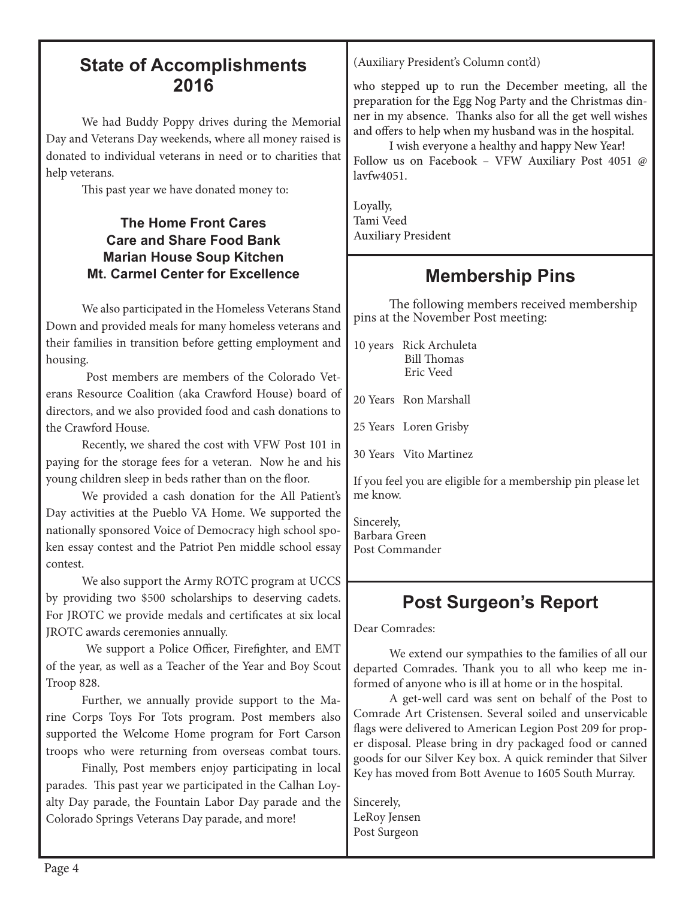### **State of Accomplishments 2016**

We had Buddy Poppy drives during the Memorial Day and Veterans Day weekends, where all money raised is donated to individual veterans in need or to charities that help veterans.

This past year we have donated money to:

### **The Home Front Cares Care and Share Food Bank Marian House Soup Kitchen Mt. Carmel Center for Excellence**

We also participated in the Homeless Veterans Stand Down and provided meals for many homeless veterans and their families in transition before getting employment and housing.

 Post members are members of the Colorado Veterans Resource Coalition (aka Crawford House) board of directors, and we also provided food and cash donations to the Crawford House.

Recently, we shared the cost with VFW Post 101 in paying for the storage fees for a veteran. Now he and his young children sleep in beds rather than on the floor.

We provided a cash donation for the All Patient's Day activities at the Pueblo VA Home. We supported the nationally sponsored Voice of Democracy high school spoken essay contest and the Patriot Pen middle school essay contest.

We also support the Army ROTC program at UCCS by providing two \$500 scholarships to deserving cadets. For JROTC we provide medals and certificates at six local JROTC awards ceremonies annually.

 We support a Police Officer, Firefighter, and EMT of the year, as well as a Teacher of the Year and Boy Scout Troop 828.

Further, we annually provide support to the Marine Corps Toys For Tots program. Post members also supported the Welcome Home program for Fort Carson troops who were returning from overseas combat tours.

Finally, Post members enjoy participating in local parades. This past year we participated in the Calhan Loyalty Day parade, the Fountain Labor Day parade and the Colorado Springs Veterans Day parade, and more!

(Auxiliary President's Column cont'd)

who stepped up to run the December meeting, all the preparation for the Egg Nog Party and the Christmas dinner in my absence. Thanks also for all the get well wishes and offers to help when my husband was in the hospital.

I wish everyone a healthy and happy New Year! Follow us on Facebook – VFW Auxiliary Post 4051 @ lavfw4051.

Loyally, Tami Veed Auxiliary President

## **Membership Pins**

The following members received membership pins at the November Post meeting:

10 years Rick Archuleta Bill Thomas Eric Veed

20 Years Ron Marshall

25 Years Loren Grisby

30 Years Vito Martinez

If you feel you are eligible for a membership pin please let me know.

Sincerely, Barbara Green Post Commander

## **Post Surgeon's Report**

Dear Comrades:

We extend our sympathies to the families of all our departed Comrades. Thank you to all who keep me informed of anyone who is ill at home or in the hospital.

A get-well card was sent on behalf of the Post to Comrade Art Cristensen. Several soiled and unservicable flags were delivered to American Legion Post 209 for proper disposal. Please bring in dry packaged food or canned goods for our Silver Key box. A quick reminder that Silver Key has moved from Bott Avenue to 1605 South Murray.

Sincerely, LeRoy Jensen Post Surgeon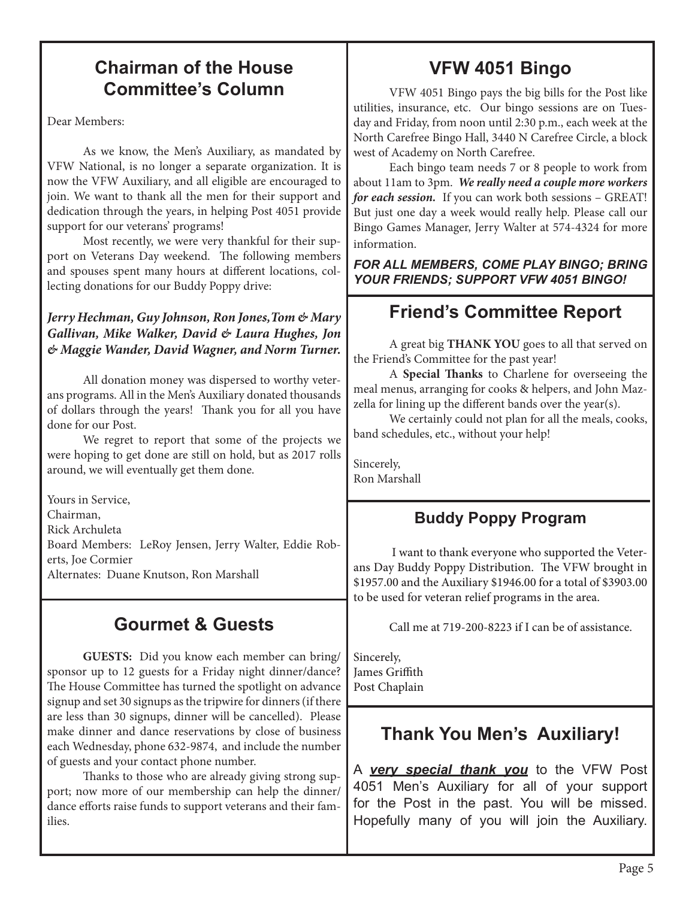## **Chairman of the House Committee's Column**

Dear Members:

As we know, the Men's Auxiliary, as mandated by VFW National, is no longer a separate organization. It is now the VFW Auxiliary, and all eligible are encouraged to join. We want to thank all the men for their support and dedication through the years, in helping Post 4051 provide support for our veterans' programs!

Most recently, we were very thankful for their support on Veterans Day weekend. The following members and spouses spent many hours at different locations, collecting donations for our Buddy Poppy drive:

### *Jerry Hechman, Guy Johnson, Ron Jones,Tom & Mary Gallivan, Mike Walker, David & Laura Hughes, Jon & Maggie Wander, David Wagner, and Norm Turner.*

All donation money was dispersed to worthy veterans programs. All in the Men's Auxiliary donated thousands of dollars through the years! Thank you for all you have done for our Post.

We regret to report that some of the projects we were hoping to get done are still on hold, but as 2017 rolls around, we will eventually get them done.

Yours in Service, Chairman, Rick Archuleta Board Members: LeRoy Jensen, Jerry Walter, Eddie Roberts, Joe Cormier Alternates: Duane Knutson, Ron Marshall

## **Gourmet & Guests**

**GUESTS:** Did you know each member can bring/ sponsor up to 12 guests for a Friday night dinner/dance? The House Committee has turned the spotlight on advance signup and set 30 signups as the tripwire for dinners (if there are less than 30 signups, dinner will be cancelled). Please make dinner and dance reservations by close of business each Wednesday, phone 632-9874, and include the number of guests and your contact phone number.

Thanks to those who are already giving strong support; now more of our membership can help the dinner/ dance efforts raise funds to support veterans and their families.

## **VFW 4051 Bingo**

VFW 4051 Bingo pays the big bills for the Post like utilities, insurance, etc. Our bingo sessions are on Tuesday and Friday, from noon until 2:30 p.m., each week at the North Carefree Bingo Hall, 3440 N Carefree Circle, a block west of Academy on North Carefree.

Each bingo team needs 7 or 8 people to work from about 11am to 3pm. *We really need a couple more workers for each session.* If you can work both sessions – GREAT! But just one day a week would really help. Please call our Bingo Games Manager, Jerry Walter at 574-4324 for more information.

*FOR ALL MEMBERS, COME PLAY BINGO; BRING YOUR FRIENDS; SUPPORT VFW 4051 BINGO!*

## **Friend's Committee Report**

A great big **THANK YOU** goes to all that served on the Friend's Committee for the past year!

A **Special Thanks** to Charlene for overseeing the meal menus, arranging for cooks & helpers, and John Mazzella for lining up the different bands over the year(s).

We certainly could not plan for all the meals, cooks, band schedules, etc., without your help!

Sincerely, Ron Marshall

### **Buddy Poppy Program**

 I want to thank everyone who supported the Veterans Day Buddy Poppy Distribution. The VFW brought in \$1957.00 and the Auxiliary \$1946.00 for a total of \$3903.00 to be used for veteran relief programs in the area.

Call me at 719-200-8223 if I can be of assistance.

Sincerely, James Griffith  Post Chaplain

## **Thank You Men's Auxiliary!**

A *very special thank you* to the VFW Post 4051 Men's Auxiliary for all of your support for the Post in the past. You will be missed. Hopefully many of you will join the Auxiliary.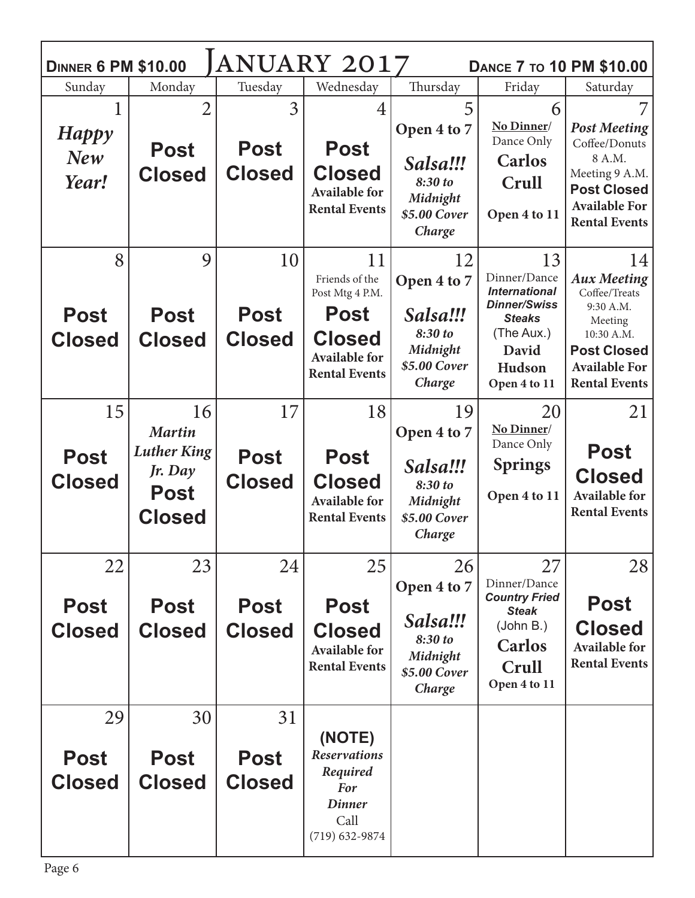| ANUARY 2017<br><b>DINNER 6 PM \$10.00</b><br><b>DANCE 7 TO 10 PM \$10.00</b> |                                                                                      |                                    |                                                                                                                         |                                                                                |                                                                                                                                     |                                                                                                                                                       |  |  |  |
|------------------------------------------------------------------------------|--------------------------------------------------------------------------------------|------------------------------------|-------------------------------------------------------------------------------------------------------------------------|--------------------------------------------------------------------------------|-------------------------------------------------------------------------------------------------------------------------------------|-------------------------------------------------------------------------------------------------------------------------------------------------------|--|--|--|
| Sunday                                                                       | Monday                                                                               | Tuesday                            | Wednesday                                                                                                               | Thursday                                                                       | Friday                                                                                                                              | Saturday                                                                                                                                              |  |  |  |
| Happy<br>New<br>Year!                                                        | $\overline{2}$<br><b>Post</b><br><b>Closed</b>                                       | 3<br><b>Post</b><br><b>Closed</b>  | 4<br><b>Post</b><br><b>Closed</b><br><b>Available for</b><br><b>Rental Events</b>                                       | 5<br>Open 4 to 7<br>Salsa!!!<br>8:30 to<br>Midnight<br>\$5.00 Cover<br>Charge  | 6<br>No Dinner/<br>Dance Only<br><b>Carlos</b><br>Crull<br>Open 4 to 11                                                             | <b>Post Meeting</b><br>Coffee/Donuts<br>8 A.M.<br>Meeting 9 A.M.<br><b>Post Closed</b><br><b>Available For</b><br><b>Rental Events</b>                |  |  |  |
| 8<br><b>Post</b><br><b>Closed</b>                                            | 9<br><b>Post</b><br><b>Closed</b>                                                    | 10<br><b>Post</b><br><b>Closed</b> | 11<br>Friends of the<br>Post Mtg 4 P.M.<br><b>Post</b><br><b>Closed</b><br><b>Available for</b><br><b>Rental Events</b> | 12<br>Open 4 to 7<br>Salsa!!!<br>8:30 to<br>Midnight<br>\$5.00 Cover<br>Charge | 13<br>Dinner/Dance<br><b>International</b><br><b>Dinner/Swiss</b><br><b>Steaks</b><br>(The Aux.)<br>David<br>Hudson<br>Open 4 to 11 | 14<br><b>Aux Meeting</b><br>Coffee/Treats<br>9:30 A.M.<br>Meeting<br>10:30 A.M.<br><b>Post Closed</b><br><b>Available For</b><br><b>Rental Events</b> |  |  |  |
| 15<br><b>Post</b><br><b>Closed</b>                                           | 16<br><b>Martin</b><br><b>Luther King</b><br>Jr. Day<br><b>Post</b><br><b>Closed</b> | 17<br><b>Post</b><br><b>Closed</b> | 18<br><b>Post</b><br><b>Closed</b><br><b>Available for</b><br><b>Rental Events</b>                                      | 19<br>Open 4 to 7<br>Salsa!!!<br>8:30 to<br>Midnight<br>\$5.00 Cover<br>Charge | 20<br>No Dinner/<br>Dance Only<br><b>Springs</b><br>Open 4 to 11                                                                    | 21<br>Post<br><b>Closed</b><br><b>Available for</b><br><b>Rental Events</b>                                                                           |  |  |  |
| 22<br><b>Post</b><br><b>Closed</b>                                           | 23<br><b>Post</b><br><b>Closed</b>                                                   | 24<br><b>Post</b><br><b>Closed</b> | 25<br><b>Post</b><br><b>Closed</b><br><b>Available for</b><br><b>Rental Events</b>                                      | 26<br>Open 4 to 7<br>Salsa!!!<br>8:30 to<br>Midnight<br>\$5.00 Cover<br>Charge | 27<br>Dinner/Dance<br><b>Country Fried</b><br><b>Steak</b><br>(John B.)<br><b>Carlos</b><br>Crull<br>Open 4 to 11                   | 28<br><b>Post</b><br><b>Closed</b><br><b>Available for</b><br><b>Rental Events</b>                                                                    |  |  |  |
| 29<br><b>Post</b><br><b>Closed</b>                                           | 30<br><b>Post</b><br><b>Closed</b>                                                   | 31<br><b>Post</b><br><b>Closed</b> | (NOTE)<br><b>Reservations</b><br>Required<br><b>For</b><br><b>Dinner</b><br>Call<br>$(719) 632 - 9874$                  |                                                                                |                                                                                                                                     |                                                                                                                                                       |  |  |  |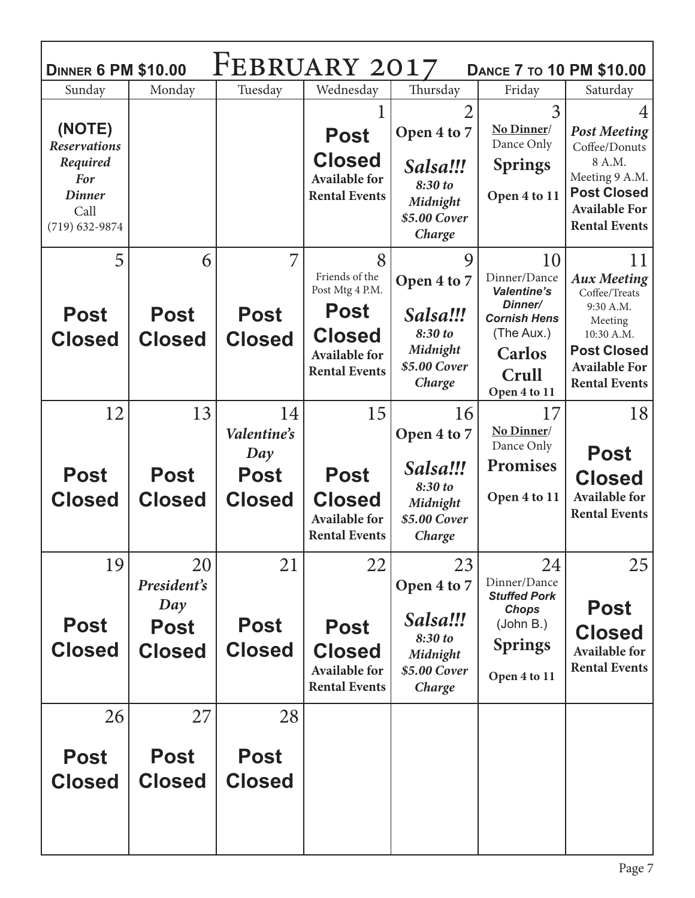| FEBRUARY 2017<br><b>DINNER 6 PM \$10.00</b><br><b>DANCE 7 TO 10 PM \$10.00</b> |                                                          |                                    |                                                                                    |                                                                                |                                                                                                          |                                                                                                          |  |  |  |
|--------------------------------------------------------------------------------|----------------------------------------------------------|------------------------------------|------------------------------------------------------------------------------------|--------------------------------------------------------------------------------|----------------------------------------------------------------------------------------------------------|----------------------------------------------------------------------------------------------------------|--|--|--|
| Sunday                                                                         | Monday                                                   | Tuesday                            | Wednesday                                                                          | Thursday                                                                       | Friday                                                                                                   | Saturday                                                                                                 |  |  |  |
| (NOTE)<br><b>Reservations</b>                                                  |                                                          |                                    | <b>Post</b>                                                                        | $\overline{2}$<br>Open 4 to 7                                                  | 3<br>No Dinner/<br>Dance Only                                                                            | <b>Post Meeting</b><br>Coffee/Donuts                                                                     |  |  |  |
| Required<br><b>For</b><br><b>Dinner</b><br>Call<br>$(719) 632 - 9874$          |                                                          |                                    | <b>Closed</b><br><b>Available for</b><br><b>Rental Events</b>                      | Salsa!!!<br>8:30 to<br>Midnight<br>\$5.00 Cover<br>Charge                      | <b>Springs</b><br>Open 4 to 11                                                                           | 8 A.M.<br>Meeting 9 A.M.<br><b>Post Closed</b><br><b>Available For</b><br><b>Rental Events</b>           |  |  |  |
| 5                                                                              | 6                                                        |                                    | 8<br>Friends of the<br>Post Mtg 4 P.M.                                             | 9<br>Open 4 to 7                                                               | 10<br>Dinner/Dance<br><b>Valentine's</b>                                                                 | 11<br><b>Aux Meeting</b><br>Coffee/Treats                                                                |  |  |  |
| <b>Post</b><br><b>Closed</b>                                                   | <b>Post</b><br><b>Closed</b>                             | <b>Post</b><br><b>Closed</b>       | <b>Post</b><br><b>Closed</b><br><b>Available for</b><br><b>Rental Events</b>       | Salsa!!!<br>8:30 to<br>Midnight<br>\$5.00 Cover<br>Charge                      | Dinner/<br><b>Cornish Hens</b><br>(The Aux.)<br><b>Carlos</b><br>Crull                                   | 9:30 A.M.<br>Meeting<br>10:30 A.M.<br><b>Post Closed</b><br><b>Available For</b><br><b>Rental Events</b> |  |  |  |
| 12                                                                             | 13                                                       | 14<br>Valentine's<br>Day           | 15                                                                                 | 16<br>Open 4 to 7                                                              | Open 4 to 11<br>17<br>No Dinner/<br>Dance Only                                                           | 18<br><b>Post</b>                                                                                        |  |  |  |
|                                                                                |                                                          |                                    |                                                                                    |                                                                                |                                                                                                          |                                                                                                          |  |  |  |
| <b>Post</b><br><b>Closed</b>                                                   | <b>Post</b><br><b>Closed</b>                             | <b>Post</b><br><b>Closed</b>       | <b>Post</b><br><b>Closed</b><br><b>Available for</b><br><b>Rental Events</b>       | Salsa!!!<br>8:30 to<br>Midnight<br>\$5.00 Cover<br>Charge                      | <b>Promises</b><br>Open 4 to 11                                                                          | <b>Closed</b><br><b>Available for</b><br><b>Rental Events</b>                                            |  |  |  |
| 19<br><b>Post</b><br><b>Closed</b>                                             | 20<br>President's<br>Day<br><b>Post</b><br><b>Closed</b> | 21<br><b>Post</b><br><b>Closed</b> | 22<br><b>Post</b><br><b>Closed</b><br><b>Available for</b><br><b>Rental Events</b> | 23<br>Open 4 to 7<br>Salsa!!!<br>8:30 to<br>Midnight<br>\$5.00 Cover<br>Charge | 24<br>Dinner/Dance<br><b>Stuffed Pork</b><br><b>Chops</b><br>(John B.)<br><b>Springs</b><br>Open 4 to 11 | 25<br><b>Post</b><br><b>Closed</b><br><b>Available for</b><br><b>Rental Events</b>                       |  |  |  |